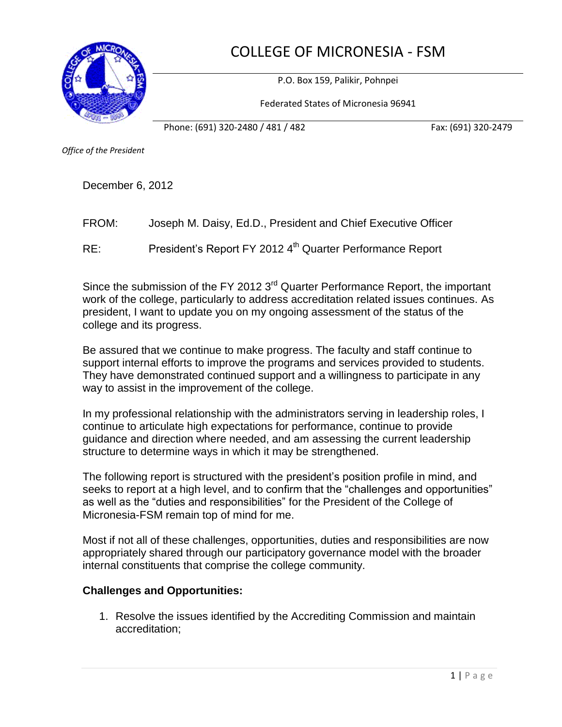COLLEGE OF MICRONESIA - FSM



P.O. Box 159, Palikir, Pohnpei

Federated States of Micronesia 96941

Phone: (691) 320-2480 / 481 / 482 Fax: (691) 320-2479

*Office of the President*

December 6, 2012

FROM: Joseph M. Daisy, Ed.D., President and Chief Executive Officer

RE: President's Report FY 2012 4<sup>th</sup> Quarter Performance Report

Since the submission of the FY 2012 3<sup>rd</sup> Quarter Performance Report, the important work of the college, particularly to address accreditation related issues continues. As president, I want to update you on my ongoing assessment of the status of the college and its progress.

Be assured that we continue to make progress. The faculty and staff continue to support internal efforts to improve the programs and services provided to students. They have demonstrated continued support and a willingness to participate in any way to assist in the improvement of the college.

In my professional relationship with the administrators serving in leadership roles, I continue to articulate high expectations for performance, continue to provide guidance and direction where needed, and am assessing the current leadership structure to determine ways in which it may be strengthened.

The following report is structured with the president's position profile in mind, and seeks to report at a high level, and to confirm that the "challenges and opportunities" as well as the "duties and responsibilities" for the President of the College of Micronesia-FSM remain top of mind for me.

Most if not all of these challenges, opportunities, duties and responsibilities are now appropriately shared through our participatory governance model with the broader internal constituents that comprise the college community.

## **Challenges and Opportunities:**

1. Resolve the issues identified by the Accrediting Commission and maintain accreditation;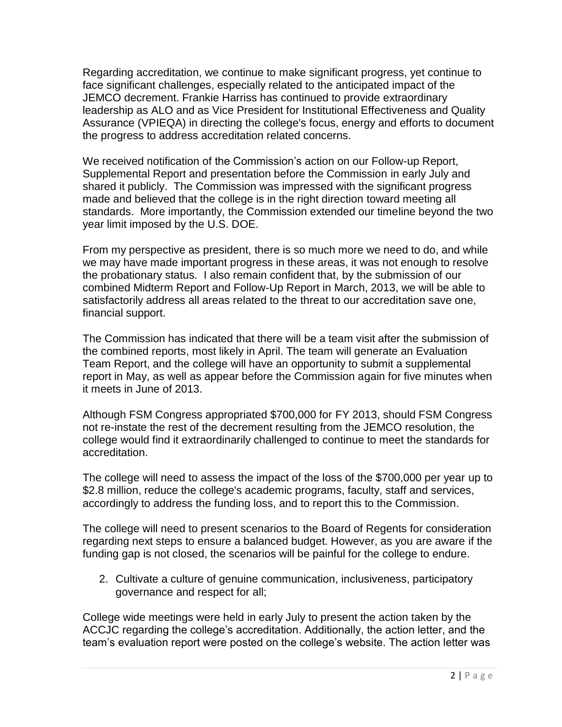Regarding accreditation, we continue to make significant progress, yet continue to face significant challenges, especially related to the anticipated impact of the JEMCO decrement. Frankie Harriss has continued to provide extraordinary leadership as ALO and as Vice President for Institutional Effectiveness and Quality Assurance (VPIEQA) in directing the college's focus, energy and efforts to document the progress to address accreditation related concerns.

We received notification of the Commission's action on our Follow-up Report, Supplemental Report and presentation before the Commission in early July and shared it publicly. The Commission was impressed with the significant progress made and believed that the college is in the right direction toward meeting all standards. More importantly, the Commission extended our timeline beyond the two year limit imposed by the U.S. DOE.

From my perspective as president, there is so much more we need to do, and while we may have made important progress in these areas, it was not enough to resolve the probationary status. I also remain confident that, by the submission of our combined Midterm Report and Follow-Up Report in March, 2013, we will be able to satisfactorily address all areas related to the threat to our accreditation save one, financial support.

The Commission has indicated that there will be a team visit after the submission of the combined reports, most likely in April. The team will generate an Evaluation Team Report, and the college will have an opportunity to submit a supplemental report in May, as well as appear before the Commission again for five minutes when it meets in June of 2013.

Although FSM Congress appropriated \$700,000 for FY 2013, should FSM Congress not re-instate the rest of the decrement resulting from the JEMCO resolution, the college would find it extraordinarily challenged to continue to meet the standards for accreditation.

The college will need to assess the impact of the loss of the \$700,000 per year up to \$2.8 million, reduce the college's academic programs, faculty, staff and services, accordingly to address the funding loss, and to report this to the Commission.

The college will need to present scenarios to the Board of Regents for consideration regarding next steps to ensure a balanced budget. However, as you are aware if the funding gap is not closed, the scenarios will be painful for the college to endure.

2. Cultivate a culture of genuine communication, inclusiveness, participatory governance and respect for all;

College wide meetings were held in early July to present the action taken by the ACCJC regarding the college's accreditation. Additionally, the action letter, and the team's evaluation report were posted on the college's website. The action letter was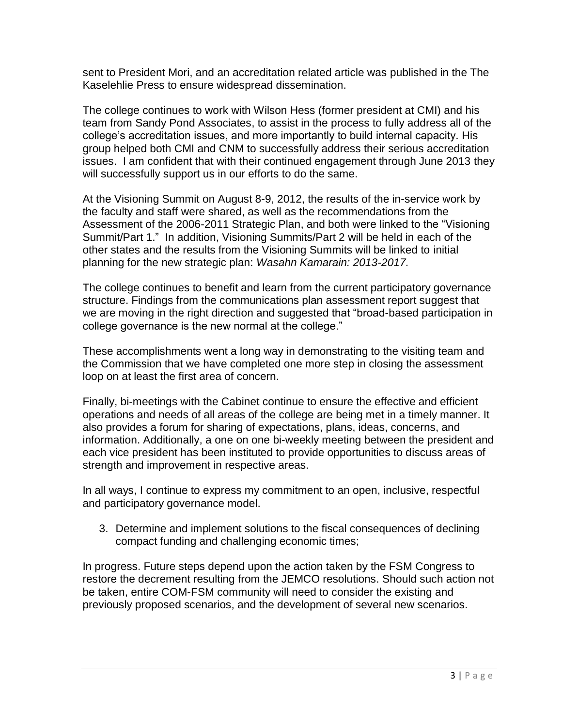sent to President Mori, and an accreditation related article was published in the The Kaselehlie Press to ensure widespread dissemination.

The college continues to work with Wilson Hess (former president at CMI) and his team from Sandy Pond Associates, to assist in the process to fully address all of the college's accreditation issues, and more importantly to build internal capacity. His group helped both CMI and CNM to successfully address their serious accreditation issues. I am confident that with their continued engagement through June 2013 they will successfully support us in our efforts to do the same.

At the Visioning Summit on August 8-9, 2012, the results of the in-service work by the faculty and staff were shared, as well as the recommendations from the Assessment of the 2006-2011 Strategic Plan, and both were linked to the "Visioning Summit/Part 1." In addition, Visioning Summits/Part 2 will be held in each of the other states and the results from the Visioning Summits will be linked to initial planning for the new strategic plan: *Wasahn Kamarain: 2013-2017.*

The college continues to benefit and learn from the current participatory governance structure. Findings from the communications plan assessment report suggest that we are moving in the right direction and suggested that "broad-based participation in college governance is the new normal at the college."

These accomplishments went a long way in demonstrating to the visiting team and the Commission that we have completed one more step in closing the assessment loop on at least the first area of concern.

Finally, bi-meetings with the Cabinet continue to ensure the effective and efficient operations and needs of all areas of the college are being met in a timely manner. It also provides a forum for sharing of expectations, plans, ideas, concerns, and information. Additionally, a one on one bi-weekly meeting between the president and each vice president has been instituted to provide opportunities to discuss areas of strength and improvement in respective areas.

In all ways, I continue to express my commitment to an open, inclusive, respectful and participatory governance model.

3. Determine and implement solutions to the fiscal consequences of declining compact funding and challenging economic times;

In progress. Future steps depend upon the action taken by the FSM Congress to restore the decrement resulting from the JEMCO resolutions. Should such action not be taken, entire COM-FSM community will need to consider the existing and previously proposed scenarios, and the development of several new scenarios.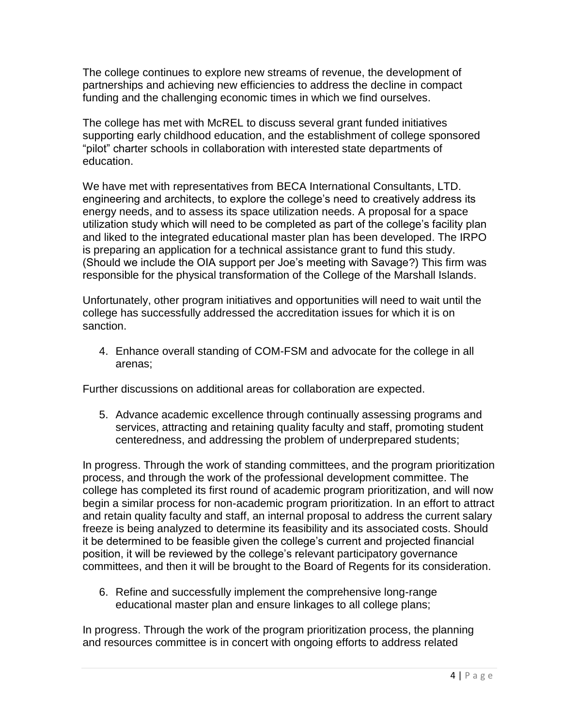The college continues to explore new streams of revenue, the development of partnerships and achieving new efficiencies to address the decline in compact funding and the challenging economic times in which we find ourselves.

The college has met with McREL to discuss several grant funded initiatives supporting early childhood education, and the establishment of college sponsored "pilot" charter schools in collaboration with interested state departments of education.

We have met with representatives from BECA International Consultants, LTD. engineering and architects, to explore the college's need to creatively address its energy needs, and to assess its space utilization needs. A proposal for a space utilization study which will need to be completed as part of the college's facility plan and liked to the integrated educational master plan has been developed. The IRPO is preparing an application for a technical assistance grant to fund this study. (Should we include the OIA support per Joe's meeting with Savage?) This firm was responsible for the physical transformation of the College of the Marshall Islands.

Unfortunately, other program initiatives and opportunities will need to wait until the college has successfully addressed the accreditation issues for which it is on sanction.

4. Enhance overall standing of COM-FSM and advocate for the college in all arenas;

Further discussions on additional areas for collaboration are expected.

5. Advance academic excellence through continually assessing programs and services, attracting and retaining quality faculty and staff, promoting student centeredness, and addressing the problem of underprepared students;

In progress. Through the work of standing committees, and the program prioritization process, and through the work of the professional development committee. The college has completed its first round of academic program prioritization, and will now begin a similar process for non-academic program prioritization. In an effort to attract and retain quality faculty and staff, an internal proposal to address the current salary freeze is being analyzed to determine its feasibility and its associated costs. Should it be determined to be feasible given the college's current and projected financial position, it will be reviewed by the college's relevant participatory governance committees, and then it will be brought to the Board of Regents for its consideration.

6. Refine and successfully implement the comprehensive long-range educational master plan and ensure linkages to all college plans;

In progress. Through the work of the program prioritization process, the planning and resources committee is in concert with ongoing efforts to address related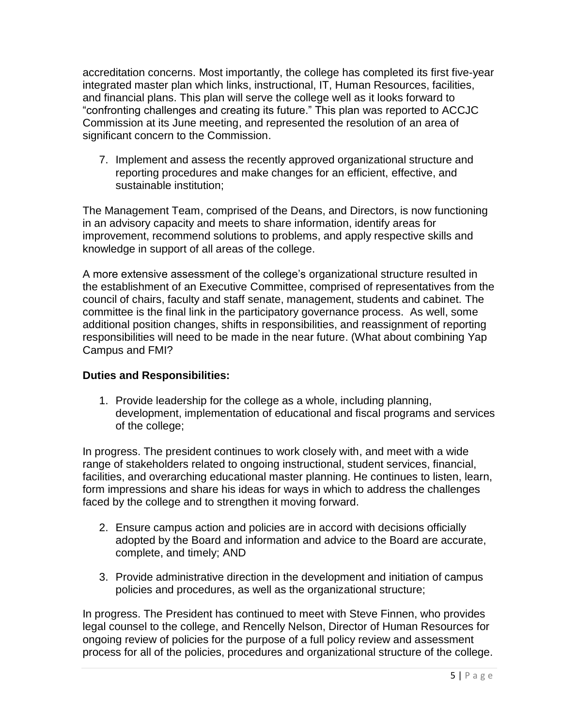accreditation concerns. Most importantly, the college has completed its first five-year integrated master plan which links, instructional, IT, Human Resources, facilities, and financial plans. This plan will serve the college well as it looks forward to "confronting challenges and creating its future." This plan was reported to ACCJC Commission at its June meeting, and represented the resolution of an area of significant concern to the Commission.

7. Implement and assess the recently approved organizational structure and reporting procedures and make changes for an efficient, effective, and sustainable institution;

The Management Team, comprised of the Deans, and Directors, is now functioning in an advisory capacity and meets to share information, identify areas for improvement, recommend solutions to problems, and apply respective skills and knowledge in support of all areas of the college.

A more extensive assessment of the college's organizational structure resulted in the establishment of an Executive Committee, comprised of representatives from the council of chairs, faculty and staff senate, management, students and cabinet. The committee is the final link in the participatory governance process. As well, some additional position changes, shifts in responsibilities, and reassignment of reporting responsibilities will need to be made in the near future. (What about combining Yap Campus and FMI?

## **Duties and Responsibilities:**

1. Provide leadership for the college as a whole, including planning, development, implementation of educational and fiscal programs and services of the college;

In progress. The president continues to work closely with, and meet with a wide range of stakeholders related to ongoing instructional, student services, financial, facilities, and overarching educational master planning. He continues to listen, learn, form impressions and share his ideas for ways in which to address the challenges faced by the college and to strengthen it moving forward.

- 2. Ensure campus action and policies are in accord with decisions officially adopted by the Board and information and advice to the Board are accurate, complete, and timely; AND
- 3. Provide administrative direction in the development and initiation of campus policies and procedures, as well as the organizational structure;

In progress. The President has continued to meet with Steve Finnen, who provides legal counsel to the college, and Rencelly Nelson, Director of Human Resources for ongoing review of policies for the purpose of a full policy review and assessment process for all of the policies, procedures and organizational structure of the college.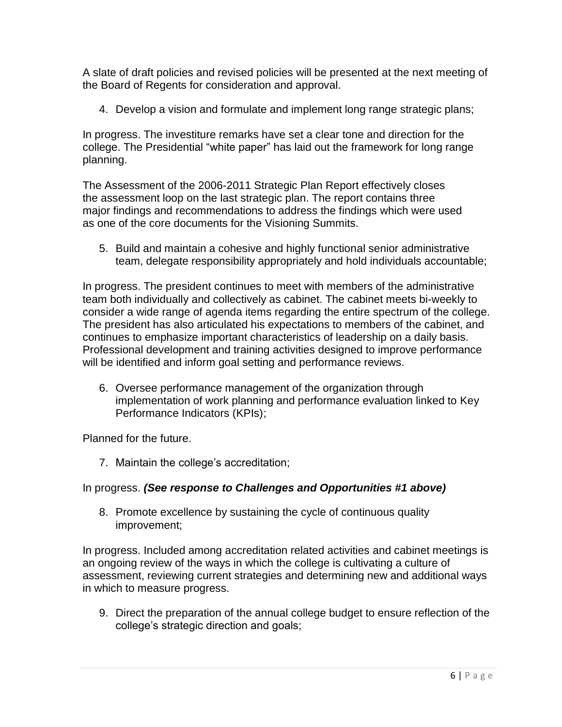A slate of draft policies and revised policies will be presented at the next meeting of the Board of Regents for consideration and approval.

4. Develop a vision and formulate and implement long range strategic plans;

In progress. The investiture remarks have set a clear tone and direction for the college. The Presidential "white paper" has laid out the framework for long range planning.

The Assessment of the 2006-2011 Strategic Plan Report effectively closes the assessment loop on the last strategic plan. The report contains three major findings and recommendations to address the findings which were used as one of the core documents for the Visioning Summits.

5. Build and maintain a cohesive and highly functional senior administrative team, delegate responsibility appropriately and hold individuals accountable;

In progress. The president continues to meet with members of the administrative team both individually and collectively as cabinet. The cabinet meets bi-weekly to consider a wide range of agenda items regarding the entire spectrum of the college. The president has also articulated his expectations to members of the cabinet, and continues to emphasize important characteristics of leadership on a daily basis. Professional development and training activities designed to improve performance will be identified and inform goal setting and performance reviews.

6. Oversee performance management of the organization through implementation of work planning and performance evaluation linked to Key Performance Indicators (KPIs);

Planned for the future.

7. Maintain the college's accreditation;

## In progress. *(See response to Challenges and Opportunities #1 above)*

8. Promote excellence by sustaining the cycle of continuous quality improvement;

In progress. Included among accreditation related activities and cabinet meetings is an ongoing review of the ways in which the college is cultivating a culture of assessment, reviewing current strategies and determining new and additional ways in which to measure progress.

9. Direct the preparation of the annual college budget to ensure reflection of the college's strategic direction and goals;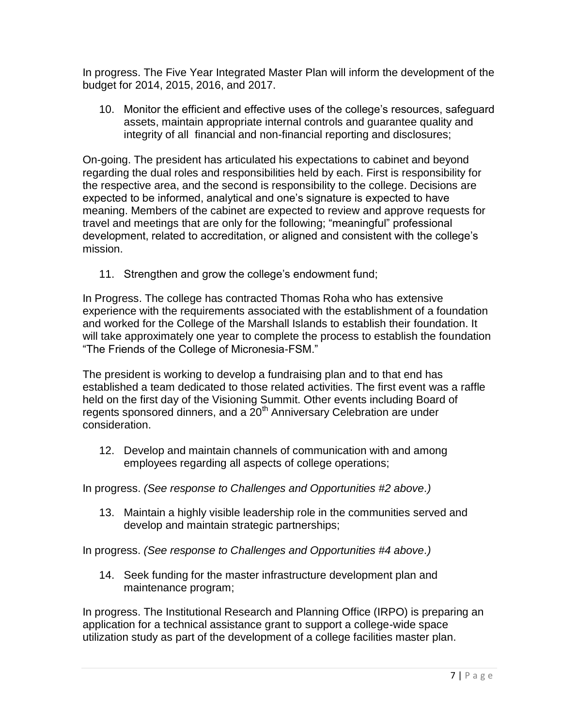In progress. The Five Year Integrated Master Plan will inform the development of the budget for 2014, 2015, 2016, and 2017.

10. Monitor the efficient and effective uses of the college's resources, safeguard assets, maintain appropriate internal controls and guarantee quality and integrity of all financial and non-financial reporting and disclosures;

On-going. The president has articulated his expectations to cabinet and beyond regarding the dual roles and responsibilities held by each. First is responsibility for the respective area, and the second is responsibility to the college. Decisions are expected to be informed, analytical and one's signature is expected to have meaning. Members of the cabinet are expected to review and approve requests for travel and meetings that are only for the following; "meaningful" professional development, related to accreditation, or aligned and consistent with the college's mission.

11. Strengthen and grow the college's endowment fund;

In Progress. The college has contracted Thomas Roha who has extensive experience with the requirements associated with the establishment of a foundation and worked for the College of the Marshall Islands to establish their foundation. It will take approximately one year to complete the process to establish the foundation "The Friends of the College of Micronesia-FSM."

The president is working to develop a fundraising plan and to that end has established a team dedicated to those related activities. The first event was a raffle held on the first day of the Visioning Summit. Other events including Board of regents sponsored dinners, and a 20<sup>th</sup> Anniversary Celebration are under consideration.

12. Develop and maintain channels of communication with and among employees regarding all aspects of college operations;

In progress. *(See response to Challenges and Opportunities #2 above.)*

13. Maintain a highly visible leadership role in the communities served and develop and maintain strategic partnerships;

In progress. *(See response to Challenges and Opportunities #4 above.)*

14. Seek funding for the master infrastructure development plan and maintenance program;

In progress. The Institutional Research and Planning Office (IRPO) is preparing an application for a technical assistance grant to support a college-wide space utilization study as part of the development of a college facilities master plan.